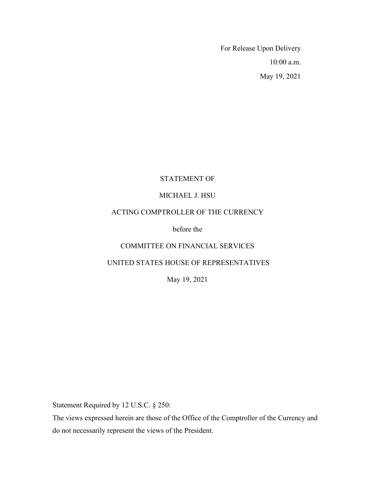For Release Upon Delivery 10:00 a.m. May 19, 2021

# STATEMENT OF

## MICHAEL J. HSU

## ACTING COMPTROLLER OF THE CURRENCY

before the

# COMMITTEE ON FINANCIAL SERVICES

# UNITED STATES HOUSE OF REPRESENTATIVES

May 19, 2021

Statement Required by 12 U.S.C. § 250:

The views expressed herein are those of the Office of the Comptroller of the Currency and do not necessarily represent the views of the President.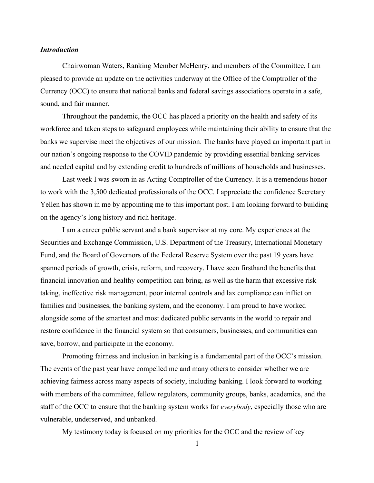## *Introduction*

Chairwoman Waters, Ranking Member McHenry, and members of the Committee, I am pleased to provide an update on the activities underway at the Office of the Comptroller of the Currency (OCC) to ensure that national banks and federal savings associations operate in a safe, sound, and fair manner.

Throughout the pandemic, the OCC has placed a priority on the health and safety of its workforce and taken steps to safeguard employees while maintaining their ability to ensure that the banks we supervise meet the objectives of our mission. The banks have played an important part in our nation's ongoing response to the COVID pandemic by providing essential banking services and needed capital and by extending credit to hundreds of millions of households and businesses.

Last week I was sworn in as Acting Comptroller of the Currency. It is a tremendous honor to work with the 3,500 dedicated professionals of the OCC. I appreciate the confidence Secretary Yellen has shown in me by appointing me to this important post. I am looking forward to building on the agency's long history and rich heritage.

I am a career public servant and a bank supervisor at my core. My experiences at the Securities and Exchange Commission, U.S. Department of the Treasury, International Monetary Fund, and the Board of Governors of the Federal Reserve System over the past 19 years have spanned periods of growth, crisis, reform, and recovery. I have seen firsthand the benefits that financial innovation and healthy competition can bring, as well as the harm that excessive risk taking, ineffective risk management, poor internal controls and lax compliance can inflict on families and businesses, the banking system, and the economy. I am proud to have worked alongside some of the smartest and most dedicated public servants in the world to repair and restore confidence in the financial system so that consumers, businesses, and communities can save, borrow, and participate in the economy.

Promoting fairness and inclusion in banking is a fundamental part of the OCC's mission. The events of the past year have compelled me and many others to consider whether we are achieving fairness across many aspects of society, including banking. I look forward to working with members of the committee, fellow regulators, community groups, banks, academics, and the staff of the OCC to ensure that the banking system works for *everybody*, especially those who are vulnerable, underserved, and unbanked.

My testimony today is focused on my priorities for the OCC and the review of key

1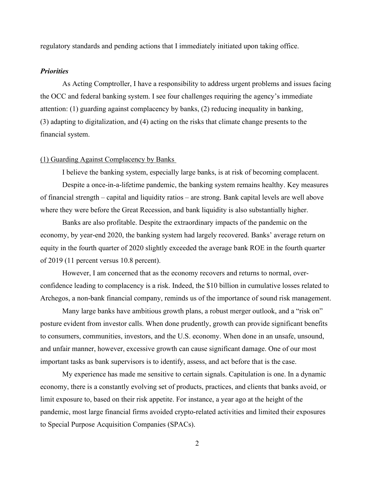regulatory standards and pending actions that I immediately initiated upon taking office.

#### *Priorities*

As Acting Comptroller, I have a responsibility to address urgent problems and issues facing the OCC and federal banking system. I see four challenges requiring the agency's immediate attention: (1) guarding against complacency by banks, (2) reducing inequality in banking, (3) adapting to digitalization, and (4) acting on the risks that climate change presents to the financial system.

## (1) Guarding Against Complacency by Banks

I believe the banking system, especially large banks, is at risk of becoming complacent.

Despite a once-in-a-lifetime pandemic, the banking system remains healthy. Key measures of financial strength – capital and liquidity ratios – are strong. Bank capital levels are well above where they were before the Great Recession, and bank liquidity is also substantially higher.

Banks are also profitable. Despite the extraordinary impacts of the pandemic on the economy, by year-end 2020, the banking system had largely recovered. Banks' average return on equity in the fourth quarter of 2020 slightly exceeded the average bank ROE in the fourth quarter of 2019 (11 percent versus 10.8 percent).

However, I am concerned that as the economy recovers and returns to normal, overconfidence leading to complacency is a risk. Indeed, the \$10 billion in cumulative losses related to Archegos, a non-bank financial company, reminds us of the importance of sound risk management.

Many large banks have ambitious growth plans, a robust merger outlook, and a "risk on" posture evident from investor calls. When done prudently, growth can provide significant benefits to consumers, communities, investors, and the U.S. economy. When done in an unsafe, unsound, and unfair manner, however, excessive growth can cause significant damage. One of our most important tasks as bank supervisors is to identify, assess, and act before that is the case.

My experience has made me sensitive to certain signals. Capitulation is one. In a dynamic economy, there is a constantly evolving set of products, practices, and clients that banks avoid, or limit exposure to, based on their risk appetite. For instance, a year ago at the height of the pandemic, most large financial firms avoided crypto-related activities and limited their exposures to Special Purpose Acquisition Companies (SPACs).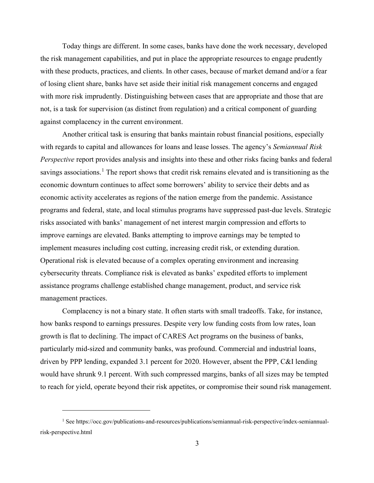Today things are different. In some cases, banks have done the work necessary, developed the risk management capabilities, and put in place the appropriate resources to engage prudently with these products, practices, and clients. In other cases, because of market demand and/or a fear of losing client share, banks have set aside their initial risk management concerns and engaged with more risk imprudently. Distinguishing between cases that are appropriate and those that are not, is a task for supervision (as distinct from regulation) and a critical component of guarding against complacency in the current environment.

Another critical task is ensuring that banks maintain robust financial positions, especially with regards to capital and allowances for loans and lease losses. The agency's *Semiannual Risk Perspective* report provides analysis and insights into these and other risks facing banks and federal savings associations.<sup>[1](#page-3-0)</sup> The report shows that credit risk remains elevated and is transitioning as the economic downturn continues to affect some borrowers' ability to service their debts and as economic activity accelerates as regions of the nation emerge from the pandemic. Assistance programs and federal, state, and local stimulus programs have suppressed past-due levels. Strategic risks associated with banks' management of net interest margin compression and efforts to improve earnings are elevated. Banks attempting to improve earnings may be tempted to implement measures including cost cutting, increasing credit risk, or extending duration. Operational risk is elevated because of a complex operating environment and increasing cybersecurity threats. Compliance risk is elevated as banks' expedited efforts to implement assistance programs challenge established change management, product, and service risk management practices.

Complacency is not a binary state. It often starts with small tradeoffs. Take, for instance, how banks respond to earnings pressures. Despite very low funding costs from low rates, loan growth is flat to declining. The impact of CARES Act programs on the business of banks, particularly mid-sized and community banks, was profound. Commercial and industrial loans, driven by PPP lending, expanded 3.1 percent for 2020. However, absent the PPP, C&I lending would have shrunk 9.1 percent. With such compressed margins, banks of all sizes may be tempted to reach for yield, operate beyond their risk appetites, or compromise their sound risk management.

<span id="page-3-0"></span><sup>&</sup>lt;sup>1</sup> See https://occ.gov/publications-and-resources/publications/semiannual-risk-perspective/index-semiannualrisk-perspective.html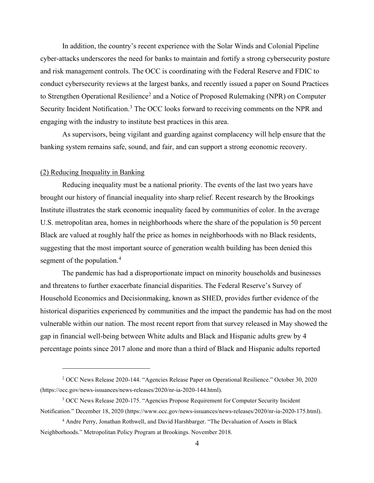In addition, the country's recent experience with the Solar Winds and Colonial Pipeline cyber-attacks underscores the need for banks to maintain and fortify a strong cybersecurity posture and risk management controls. The OCC is coordinating with the Federal Reserve and FDIC to conduct cybersecurity reviews at the largest banks, and recently issued a paper on Sound Practices to Strengthen Operational Resilience<sup>[2](#page-4-0)</sup> and a Notice of Proposed Rulemaking (NPR) on Computer Security Incident Notification.<sup>[3](#page-4-1)</sup> The OCC looks forward to receiving comments on the NPR and engaging with the industry to institute best practices in this area.

As supervisors, being vigilant and guarding against complacency will help ensure that the banking system remains safe, sound, and fair, and can support a strong economic recovery.

## (2) Reducing Inequality in Banking

Reducing inequality must be a national priority. The events of the last two years have brought our history of financial inequality into sharp relief. Recent research by the Brookings Institute illustrates the stark economic inequality faced by communities of color. In the average U.S. metropolitan area, homes in neighborhoods where the share of the population is 50 percent Black are valued at roughly half the price as homes in neighborhoods with no Black residents, suggesting that the most important source of generation wealth building has been denied this segment of the population. [4](#page-4-2)

The pandemic has had a disproportionate impact on minority households and businesses and threatens to further exacerbate financial disparities. The Federal Reserve's Survey of Household Economics and Decisionmaking, known as SHED, provides further evidence of the historical disparities experienced by communities and the impact the pandemic has had on the most vulnerable within our nation. The most recent report from that survey released in May showed the gap in financial well-being between White adults and Black and Hispanic adults grew by 4 percentage points since 2017 alone and more than a third of Black and Hispanic adults reported

<span id="page-4-0"></span><sup>2</sup> OCC News Release 2020-144. "Agencies Release Paper on Operational Resilience." October 30, 2020 (https://occ.gov/news-issuances/news-releases/2020/nr-ia-2020-144.html).

<span id="page-4-1"></span><sup>3</sup> OCC News Release 2020-175. "Agencies Propose Requirement for Computer Security Incident Notification." December 18, 2020 (https://www.occ.gov/news-issuances/news-releases/2020/nr-ia-2020-175.html).

<span id="page-4-2"></span><sup>4</sup> Andre Perry, Jonathan Rothwell, and David Harshbarger. "The Devaluation of Assets in Black Neighborhoods." Metropolitan Policy Program at Brookings. November 2018.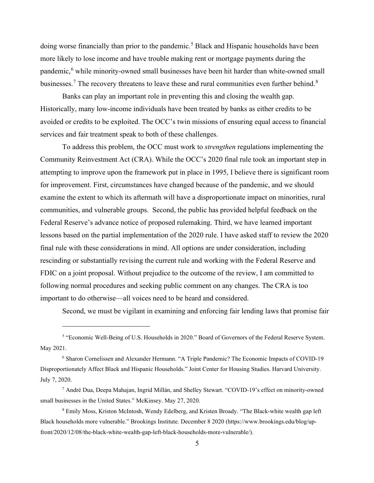doing worse financially than prior to the pandemic.<sup>[5](#page-5-0)</sup> Black and Hispanic households have been more likely to lose income and have trouble making rent or mortgage payments during the pandemic, [6](#page-5-1) while minority-owned small businesses have been hit harder than white-owned small businesses.<sup>[7](#page-5-2)</sup> The recovery threatens to leave these and rural communities even further behind.<sup>[8](#page-5-3)</sup>

Banks can play an important role in preventing this and closing the wealth gap. Historically, many low-income individuals have been treated by banks as either credits to be avoided or credits to be exploited. The OCC's twin missions of ensuring equal access to financial services and fair treatment speak to both of these challenges.

To address this problem, the OCC must work to *strengthen* regulations implementing the Community Reinvestment Act (CRA). While the OCC's 2020 final rule took an important step in attempting to improve upon the framework put in place in 1995, I believe there is significant room for improvement. First, circumstances have changed because of the pandemic, and we should examine the extent to which its aftermath will have a disproportionate impact on minorities, rural communities, and vulnerable groups. Second, the public has provided helpful feedback on the Federal Reserve's advance notice of proposed rulemaking. Third, we have learned important lessons based on the partial implementation of the 2020 rule. I have asked staff to review the 2020 final rule with these considerations in mind. All options are under consideration, including rescinding or substantially revising the current rule and working with the Federal Reserve and FDIC on a joint proposal. Without prejudice to the outcome of the review, I am committed to following normal procedures and seeking public comment on any changes. The CRA is too important to do otherwise—all voices need to be heard and considered.

Second, we must be vigilant in examining and enforcing fair lending laws that promise fair

<span id="page-5-0"></span><sup>5</sup> "Economic Well-Being of U.S. Households in 2020." Board of Governors of the Federal Reserve System. May 2021.

<span id="page-5-1"></span><sup>6</sup> Sharon Cornelissen and Alexander Hermann. "A Triple Pandemic? The Economic Impacts of COVID-19 Disproportionately Affect Black and Hispanic Households." Joint Center for Housing Studies. Harvard University. July 7, 2020.

<span id="page-5-2"></span><sup>7</sup> André Dua, Deepa Mahajan, Ingrid Millán, and Shelley Stewart. "COVID-19's effect on minority-owned small businesses in the United States." McKinsey. May 27, 2020.

<span id="page-5-3"></span><sup>&</sup>lt;sup>8</sup> Emily Moss, Kriston McIntosh, Wendy Edelberg, and Kristen Broady. "The Black-white wealth gap left Black households more vulnerable." Brookings Institute. December 8 2020 (https://www.brookings.edu/blog/upfront/2020/12/08/the-black-white-wealth-gap-left-black-households-more-vulnerable/).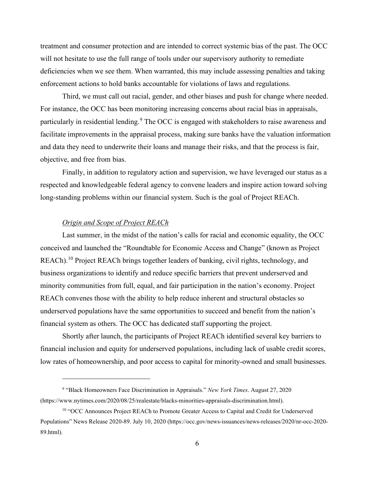treatment and consumer protection and are intended to correct systemic bias of the past. The OCC will not hesitate to use the full range of tools under our supervisory authority to remediate deficiencies when we see them. When warranted, this may include assessing penalties and taking enforcement actions to hold banks accountable for violations of laws and regulations.

Third, we must call out racial, gender, and other biases and push for change where needed. For instance, the OCC has been monitoring increasing concerns about racial bias in appraisals, particularly in residential lending.<sup>[9](#page-6-0)</sup> The OCC is engaged with stakeholders to raise awareness and facilitate improvements in the appraisal process, making sure banks have the valuation information and data they need to underwrite their loans and manage their risks, and that the process is fair, objective, and free from bias.

Finally, in addition to regulatory action and supervision, we have leveraged our status as a respected and knowledgeable federal agency to convene leaders and inspire action toward solving long-standing problems within our financial system. Such is the goal of Project REACh.

### *Origin and Scope of Project REACh*

Last summer, in the midst of the nation's calls for racial and economic equality, the OCC conceived and launched the "Roundtable for Economic Access and Change" (known as Project REACh).<sup>[10](#page-6-1)</sup> Project REACh brings together leaders of banking, civil rights, technology, and business organizations to identify and reduce specific barriers that prevent underserved and minority communities from full, equal, and fair participation in the nation's economy. Project REACh convenes those with the ability to help reduce inherent and structural obstacles so underserved populations have the same opportunities to succeed and benefit from the nation's financial system as others. The OCC has dedicated staff supporting the project.

Shortly after launch, the participants of Project REACh identified several key barriers to financial inclusion and equity for underserved populations, including lack of usable credit scores, low rates of homeownership, and poor access to capital for minority-owned and small businesses.

<span id="page-6-0"></span><sup>9</sup> "Black Homeowners Face Discrimination in Appraisals." *New York Times*. August 27, 2020 (https://www.nytimes.com/2020/08/25/realestate/blacks-minorities-appraisals-discrimination.html).

<span id="page-6-1"></span><sup>&</sup>lt;sup>10</sup> "OCC Announces Project REACh to Promote Greater Access to Capital and Credit for Underserved Populations" News Release 2020-89. July 10, 2020 (https://occ.gov/news-issuances/news-releases/2020/nr-occ-2020- 89.html).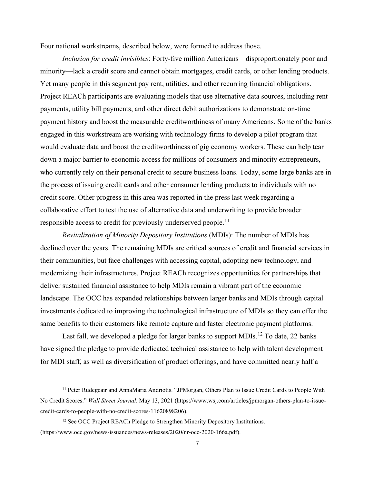Four national workstreams, described below, were formed to address those.

*Inclusion for credit invisibles*: Forty-five million Americans—disproportionately poor and minority—lack a credit score and cannot obtain mortgages, credit cards, or other lending products. Yet many people in this segment pay rent, utilities, and other recurring financial obligations. Project REACh participants are evaluating models that use alternative data sources, including rent payments, utility bill payments, and other direct debit authorizations to demonstrate on-time payment history and boost the measurable creditworthiness of many Americans. Some of the banks engaged in this workstream are working with technology firms to develop a pilot program that would evaluate data and boost the creditworthiness of gig economy workers. These can help tear down a major barrier to economic access for millions of consumers and minority entrepreneurs, who currently rely on their personal credit to secure business loans. Today, some large banks are in the process of issuing credit cards and other consumer lending products to individuals with no credit score. Other progress in this area was reported in the press last week regarding a collaborative effort to test the use of alternative data and underwriting to provide broader responsible access to credit for previously underserved people.<sup>[11](#page-7-0)</sup>

*Revitalization of Minority Depository Institutions* (MDIs): The number of MDIs has declined over the years. The remaining MDIs are critical sources of credit and financial services in their communities, but face challenges with accessing capital, adopting new technology, and modernizing their infrastructures. Project REACh recognizes opportunities for partnerships that deliver sustained financial assistance to help MDIs remain a vibrant part of the economic landscape. The OCC has expanded relationships between larger banks and MDIs through capital investments dedicated to improving the technological infrastructure of MDIs so they can offer the same benefits to their customers like remote capture and faster electronic payment platforms.

Last fall, we developed a pledge for larger banks to support MDIs.<sup>[12](#page-7-1)</sup> To date, 22 banks have signed the pledge to provide dedicated technical assistance to help with talent development for MDI staff, as well as diversification of product offerings, and have committed nearly half a

<span id="page-7-0"></span><sup>11</sup> Peter Rudegeair and AnnaMaria Andriotis. "JPMorgan, Others Plan to Issue Credit Cards to People With No Credit Scores." *Wall Street Journal*. May 13, 2021 (https://www.wsj.com/articles/jpmorgan-others-plan-to-issuecredit-cards-to-people-with-no-credit-scores-11620898206).

<span id="page-7-1"></span><sup>&</sup>lt;sup>12</sup> See OCC Project REACh Pledge to Strengthen Minority Depository Institutions. (https://www.occ.gov/news-issuances/news-releases/2020/nr-occ-2020-166a.pdf).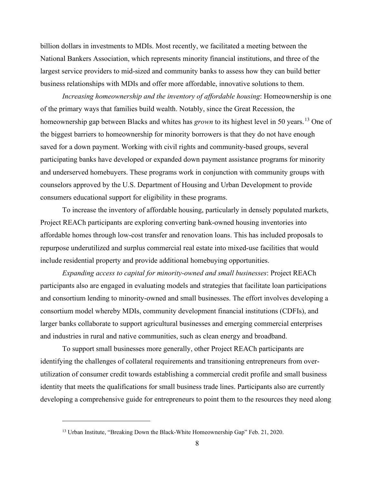billion dollars in investments to MDIs. Most recently, we facilitated a meeting between the National Bankers Association, which represents minority financial institutions, and three of the largest service providers to mid-sized and community banks to assess how they can build better business relationships with MDIs and offer more affordable, innovative solutions to them.

*Increasing homeownership and the inventory of affordable housing*: Homeownership is one of the primary ways that families build wealth. Notably, since the Great Recession, the homeownership gap between Blacks and whites has *grown* to its highest level in 50 years. [13](#page-8-0) One of the biggest barriers to homeownership for minority borrowers is that they do not have enough saved for a down payment. Working with civil rights and community-based groups, several participating banks have developed or expanded down payment assistance programs for minority and underserved homebuyers. These programs work in conjunction with community groups with counselors approved by the U.S. Department of Housing and Urban Development to provide consumers educational support for eligibility in these programs.

To increase the inventory of affordable housing, particularly in densely populated markets, Project REACh participants are exploring converting bank-owned housing inventories into affordable homes through low-cost transfer and renovation loans. This has included proposals to repurpose underutilized and surplus commercial real estate into mixed-use facilities that would include residential property and provide additional homebuying opportunities.

*Expanding access to capital for minority-owned and small businesses*: Project REACh participants also are engaged in evaluating models and strategies that facilitate loan participations and consortium lending to minority-owned and small businesses. The effort involves developing a consortium model whereby MDIs, community development financial institutions (CDFIs), and larger banks collaborate to support agricultural businesses and emerging commercial enterprises and industries in rural and native communities, such as clean energy and broadband.

To support small businesses more generally, other Project REACh participants are identifying the challenges of collateral requirements and transitioning entrepreneurs from overutilization of consumer credit towards establishing a commercial credit profile and small business identity that meets the qualifications for small business trade lines. Participants also are currently developing a comprehensive guide for entrepreneurs to point them to the resources they need along

<span id="page-8-0"></span><sup>&</sup>lt;sup>13</sup> Urban Institute, "Breaking Down the Black-White Homeownership Gap" Feb. 21, 2020.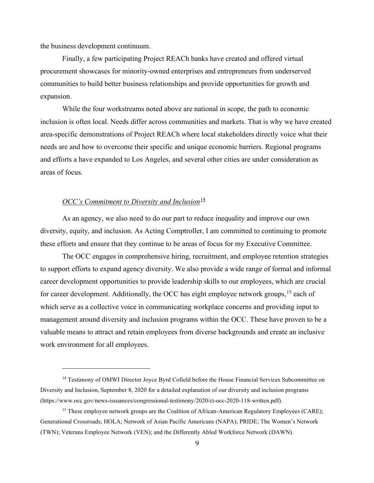the business development continuum.

Finally, a few participating Project REACh banks have created and offered virtual procurement showcases for minority-owned enterprises and entrepreneurs from underserved communities to build better business relationships and provide opportunities for growth and expansion.

While the four workstreams noted above are national in scope, the path to economic inclusion is often local. Needs differ across communities and markets. That is why we have created area-specific demonstrations of Project REACh where local stakeholders directly voice what their needs are and how to overcome their specific and unique economic barriers. Regional programs and efforts a have expanded to Los Angeles, and several other cities are under consideration as areas of focus.

## *OCC's Commitment to Diversity and Inclusion*<sup>[14](#page-9-0)</sup>

As an agency, we also need to do our part to reduce inequality and improve our own diversity, equity, and inclusion. As Acting Comptroller, I am committed to continuing to promote these efforts and ensure that they continue to be areas of focus for my Executive Committee.

The OCC engages in comprehensive hiring, recruitment, and employee retention strategies to support efforts to expand agency diversity. We also provide a wide range of formal and informal career development opportunities to provide leadership skills to our employees, which are crucial for career development. Additionally, the OCC has eight employee network groups,  $15$  each of which serve as a collective voice in communicating workplace concerns and providing input to management around diversity and inclusion programs within the OCC. These have proven to be a valuable means to attract and retain employees from diverse backgrounds and create an inclusive work environment for all employees.

<span id="page-9-0"></span><sup>&</sup>lt;sup>14</sup> Testimony of OMWI Director Joyce Byrd Cofield before the House Financial Services Subcommittee on Diversity and Inclusion, September 8, 2020 for a detailed explanation of our diversity and inclusion programs (https://www.occ.gov/news-issuances/congressional-testimony/2020/ct-occ-2020-118-written.pdf).

<span id="page-9-1"></span><sup>&</sup>lt;sup>15</sup> These employee network groups are the Coalition of African-American Regulatory Employees (CARE); Generational Crossroads; HOLA; Network of Asian Pacific Americans (NAPA); PRIDE; The Women's Network (TWN); Veterans Employee Network (VEN); and the Differently Abled Workforce Network (DAWN).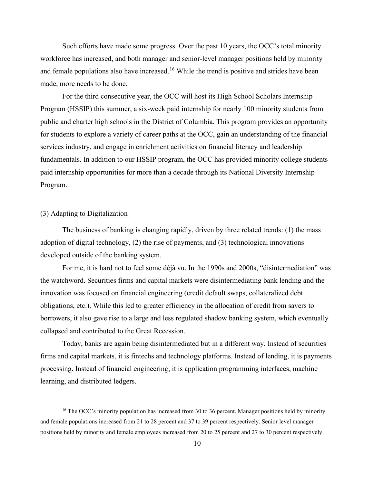Such efforts have made some progress. Over the past 10 years, the OCC's total minority workforce has increased, and both manager and senior-level manager positions held by minority and female populations also have increased.<sup>[16](#page-10-0)</sup> While the trend is positive and strides have been made, more needs to be done.

For the third consecutive year, the OCC will host its High School Scholars Internship Program (HSSIP) this summer, a six-week paid internship for nearly 100 minority students from public and charter high schools in the District of Columbia. This program provides an opportunity for students to explore a variety of career paths at the OCC, gain an understanding of the financial services industry, and engage in enrichment activities on financial literacy and leadership fundamentals. In addition to our HSSIP program, the OCC has provided minority college students paid internship opportunities for more than a decade through its National Diversity Internship Program.

## (3) Adapting to Digitalization

The business of banking is changing rapidly, driven by three related trends: (1) the mass adoption of digital technology, (2) the rise of payments, and (3) technological innovations developed outside of the banking system.

For me, it is hard not to feel some déjà vu. In the 1990s and 2000s, "disintermediation" was the watchword. Securities firms and capital markets were disintermediating bank lending and the innovation was focused on financial engineering (credit default swaps, collateralized debt obligations, etc.). While this led to greater efficiency in the allocation of credit from savers to borrowers, it also gave rise to a large and less regulated shadow banking system, which eventually collapsed and contributed to the Great Recession.

Today, banks are again being disintermediated but in a different way. Instead of securities firms and capital markets, it is fintechs and technology platforms. Instead of lending, it is payments processing. Instead of financial engineering, it is application programming interfaces, machine learning, and distributed ledgers.

<span id="page-10-0"></span><sup>&</sup>lt;sup>16</sup> The OCC's minority population has increased from 30 to 36 percent. Manager positions held by minority and female populations increased from 21 to 28 percent and 37 to 39 percent respectively. Senior level manager positions held by minority and female employees increased from 20 to 25 percent and 27 to 30 percent respectively.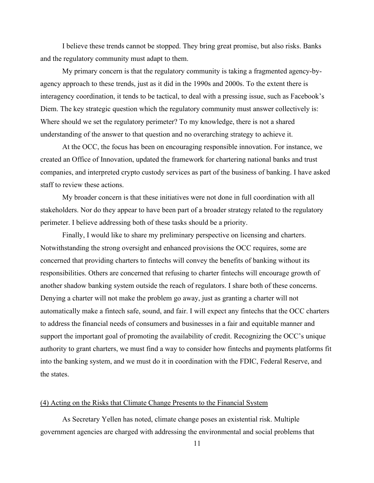I believe these trends cannot be stopped. They bring great promise, but also risks. Banks and the regulatory community must adapt to them.

My primary concern is that the regulatory community is taking a fragmented agency-byagency approach to these trends, just as it did in the 1990s and 2000s. To the extent there is interagency coordination, it tends to be tactical, to deal with a pressing issue, such as Facebook's Diem. The key strategic question which the regulatory community must answer collectively is: Where should we set the regulatory perimeter? To my knowledge, there is not a shared understanding of the answer to that question and no overarching strategy to achieve it.

At the OCC, the focus has been on encouraging responsible innovation. For instance, we created an Office of Innovation, updated the framework for chartering national banks and trust companies, and interpreted crypto custody services as part of the business of banking. I have asked staff to review these actions.

My broader concern is that these initiatives were not done in full coordination with all stakeholders. Nor do they appear to have been part of a broader strategy related to the regulatory perimeter. I believe addressing both of these tasks should be a priority.

Finally, I would like to share my preliminary perspective on licensing and charters. Notwithstanding the strong oversight and enhanced provisions the OCC requires, some are concerned that providing charters to fintechs will convey the benefits of banking without its responsibilities. Others are concerned that refusing to charter fintechs will encourage growth of another shadow banking system outside the reach of regulators. I share both of these concerns. Denying a charter will not make the problem go away, just as granting a charter will not automatically make a fintech safe, sound, and fair. I will expect any fintechs that the OCC charters to address the financial needs of consumers and businesses in a fair and equitable manner and support the important goal of promoting the availability of credit. Recognizing the OCC's unique authority to grant charters, we must find a way to consider how fintechs and payments platforms fit into the banking system, and we must do it in coordination with the FDIC, Federal Reserve, and the states.

## (4) Acting on the Risks that Climate Change Presents to the Financial System

As Secretary Yellen has noted, climate change poses an existential risk. Multiple government agencies are charged with addressing the environmental and social problems that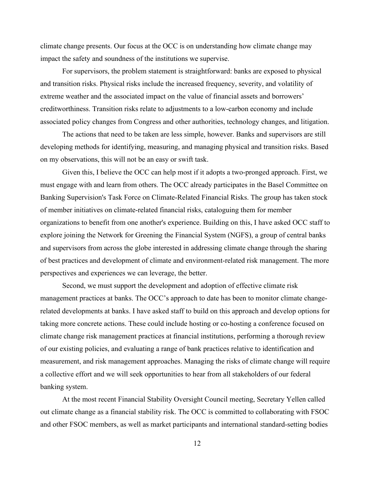climate change presents. Our focus at the OCC is on understanding how climate change may impact the safety and soundness of the institutions we supervise.

For supervisors, the problem statement is straightforward: banks are exposed to physical and transition risks. Physical risks include the increased frequency, severity, and volatility of extreme weather and the associated impact on the value of financial assets and borrowers' creditworthiness. Transition risks relate to adjustments to a low-carbon economy and include associated policy changes from Congress and other authorities, technology changes, and litigation.

The actions that need to be taken are less simple, however. Banks and supervisors are still developing methods for identifying, measuring, and managing physical and transition risks. Based on my observations, this will not be an easy or swift task.

Given this, I believe the OCC can help most if it adopts a two-pronged approach. First, we must engage with and learn from others. The OCC already participates in the Basel Committee on Banking Supervision's Task Force on Climate-Related Financial Risks. The group has taken stock of member initiatives on climate-related financial risks, cataloguing them for member organizations to benefit from one another's experience. Building on this, I have asked OCC staff to explore joining the Network for Greening the Financial System (NGFS), a group of central banks and supervisors from across the globe interested in addressing climate change through the sharing of best practices and development of climate and environment-related risk management. The more perspectives and experiences we can leverage, the better.

Second, we must support the development and adoption of effective climate risk management practices at banks. The OCC's approach to date has been to monitor climate changerelated developments at banks. I have asked staff to build on this approach and develop options for taking more concrete actions. These could include hosting or co-hosting a conference focused on climate change risk management practices at financial institutions, performing a thorough review of our existing policies, and evaluating a range of bank practices relative to identification and measurement, and risk management approaches. Managing the risks of climate change will require a collective effort and we will seek opportunities to hear from all stakeholders of our federal banking system.

At the most recent Financial Stability Oversight Council meeting, Secretary Yellen called out climate change as a financial stability risk. The OCC is committed to collaborating with FSOC and other FSOC members, as well as market participants and international standard-setting bodies